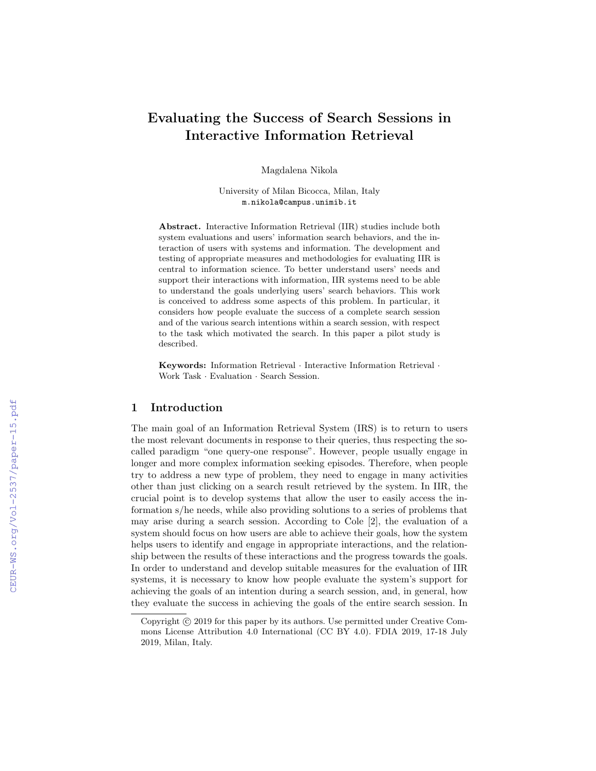# Evaluating the Success of Search Sessions in Interactive Information Retrieval

Magdalena Nikola

University of Milan Bicocca, Milan, Italy m.nikola@campus.unimib.it

Abstract. Interactive Information Retrieval (IIR) studies include both system evaluations and users' information search behaviors, and the interaction of users with systems and information. The development and testing of appropriate measures and methodologies for evaluating IIR is central to information science. To better understand users' needs and support their interactions with information, IIR systems need to be able to understand the goals underlying users' search behaviors. This work is conceived to address some aspects of this problem. In particular, it considers how people evaluate the success of a complete search session and of the various search intentions within a search session, with respect to the task which motivated the search. In this paper a pilot study is described.

Keywords: Information Retrieval · Interactive Information Retrieval · Work Task · Evaluation · Search Session.

# 1 Introduction

The main goal of an Information Retrieval System (IRS) is to return to users the most relevant documents in response to their queries, thus respecting the socalled paradigm "one query-one response". However, people usually engage in longer and more complex information seeking episodes. Therefore, when people try to address a new type of problem, they need to engage in many activities other than just clicking on a search result retrieved by the system. In IIR, the crucial point is to develop systems that allow the user to easily access the information s/he needs, while also providing solutions to a series of problems that may arise during a search session. According to Cole [2], the evaluation of a system should focus on how users are able to achieve their goals, how the system helps users to identify and engage in appropriate interactions, and the relationship between the results of these interactions and the progress towards the goals. In order to understand and develop suitable measures for the evaluation of IIR systems, it is necessary to know how people evaluate the system's support for achieving the goals of an intention during a search session, and, in general, how they evaluate the success in achieving the goals of the entire search session. In

Copyright  $\odot$  2019 for this paper by its authors. Use permitted under Creative Commons License Attribution 4.0 International (CC BY 4.0). FDIA 2019, 17-18 July 2019, Milan, Italy.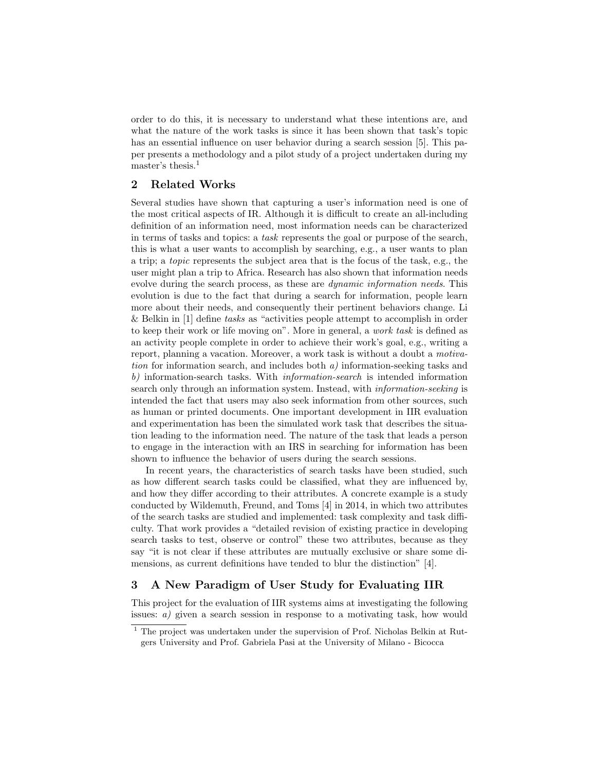order to do this, it is necessary to understand what these intentions are, and what the nature of the work tasks is since it has been shown that task's topic has an essential influence on user behavior during a search session [5]. This paper presents a methodology and a pilot study of a project undertaken during my master's thesis.<sup>1</sup>

# 2 Related Works

Several studies have shown that capturing a user's information need is one of the most critical aspects of IR. Although it is difficult to create an all-including definition of an information need, most information needs can be characterized in terms of tasks and topics: a task represents the goal or purpose of the search, this is what a user wants to accomplish by searching, e.g., a user wants to plan a trip; a topic represents the subject area that is the focus of the task, e.g., the user might plan a trip to Africa. Research has also shown that information needs evolve during the search process, as these are dynamic information needs. This evolution is due to the fact that during a search for information, people learn more about their needs, and consequently their pertinent behaviors change. Li & Belkin in [1] define tasks as "activities people attempt to accomplish in order to keep their work or life moving on". More in general, a work task is defined as an activity people complete in order to achieve their work's goal, e.g., writing a report, planning a vacation. Moreover, a work task is without a doubt a motivation for information search, and includes both  $a$ ) information-seeking tasks and b) information-search tasks. With *information-search* is intended information search only through an information system. Instead, with information-seeking is intended the fact that users may also seek information from other sources, such as human or printed documents. One important development in IIR evaluation and experimentation has been the simulated work task that describes the situation leading to the information need. The nature of the task that leads a person to engage in the interaction with an IRS in searching for information has been shown to influence the behavior of users during the search sessions.

In recent years, the characteristics of search tasks have been studied, such as how different search tasks could be classified, what they are influenced by, and how they differ according to their attributes. A concrete example is a study conducted by Wildemuth, Freund, and Toms [4] in 2014, in which two attributes of the search tasks are studied and implemented: task complexity and task difficulty. That work provides a "detailed revision of existing practice in developing search tasks to test, observe or control" these two attributes, because as they say "it is not clear if these attributes are mutually exclusive or share some dimensions, as current definitions have tended to blur the distinction" [4].

# 3 A New Paradigm of User Study for Evaluating IIR

This project for the evaluation of IIR systems aims at investigating the following issues: a) given a search session in response to a motivating task, how would

 $1$  The project was undertaken under the supervision of Prof. Nicholas Belkin at Rutgers University and Prof. Gabriela Pasi at the University of Milano - Bicocca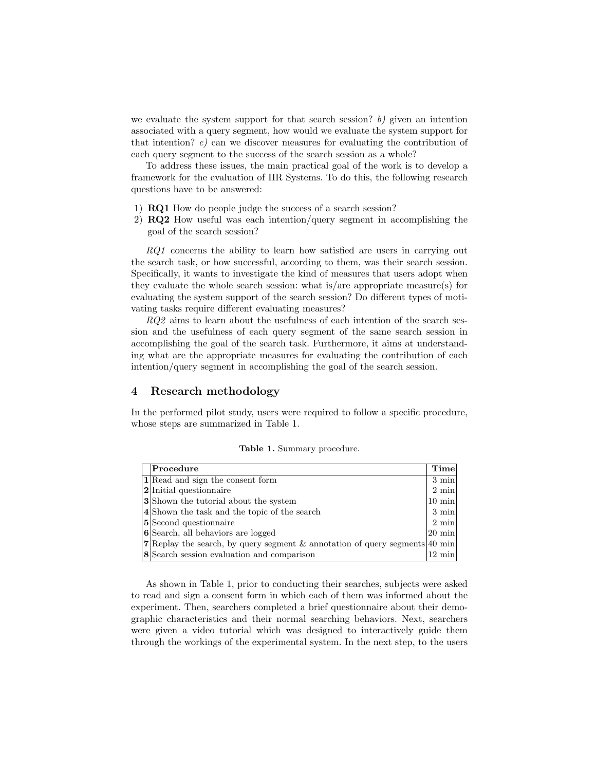we evaluate the system support for that search session? b) given an intention associated with a query segment, how would we evaluate the system support for that intention?  $c)$  can we discover measures for evaluating the contribution of each query segment to the success of the search session as a whole?

To address these issues, the main practical goal of the work is to develop a framework for the evaluation of IIR Systems. To do this, the following research questions have to be answered:

- 1) RQ1 How do people judge the success of a search session?
- 2) RQ2 How useful was each intention/query segment in accomplishing the goal of the search session?

RQ1 concerns the ability to learn how satisfied are users in carrying out the search task, or how successful, according to them, was their search session. Specifically, it wants to investigate the kind of measures that users adopt when they evaluate the whole search session: what is/are appropriate measure(s) for evaluating the system support of the search session? Do different types of motivating tasks require different evaluating measures?

RQ2 aims to learn about the usefulness of each intention of the search session and the usefulness of each query segment of the same search session in accomplishing the goal of the search task. Furthermore, it aims at understanding what are the appropriate measures for evaluating the contribution of each intention/query segment in accomplishing the goal of the search session.

# 4 Research methodology

In the performed pilot study, users were required to follow a specific procedure, whose steps are summarized in Table 1.

|  |  |  | Table 1. Summary procedure. |
|--|--|--|-----------------------------|
|--|--|--|-----------------------------|

| Procedure                                                                          | Time               |
|------------------------------------------------------------------------------------|--------------------|
| 1 Read and sign the consent form                                                   | $3 \text{ min}$    |
| <b>2</b> Initial questionnaire                                                     | $2 \text{ min}$    |
| <b>3</b> Shown the tutorial about the system                                       | $10 \text{ min}$   |
| 4 Shown the task and the topic of the search                                       | $3 \text{ min}$    |
| <b>5</b> Second questionnaire                                                      | $2 \text{ min}$    |
| 6 Search, all behaviors are logged                                                 | $ 20 \text{ min} $ |
| <b>7</b> Replay the search, by query segment & annotation of query segments 40 min |                    |
| 8 Search session evaluation and comparison                                         | $12 \text{ min}$   |

As shown in Table 1, prior to conducting their searches, subjects were asked to read and sign a consent form in which each of them was informed about the experiment. Then, searchers completed a brief questionnaire about their demographic characteristics and their normal searching behaviors. Next, searchers were given a video tutorial which was designed to interactively guide them through the workings of the experimental system. In the next step, to the users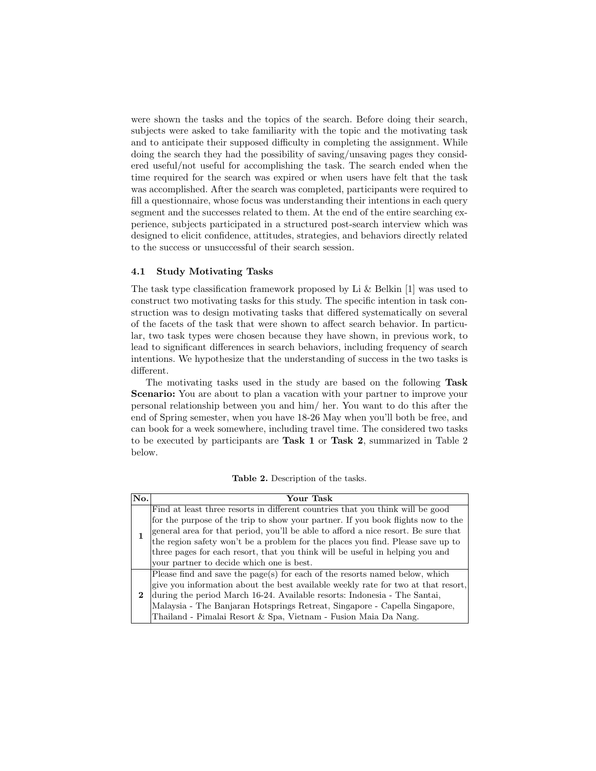were shown the tasks and the topics of the search. Before doing their search, subjects were asked to take familiarity with the topic and the motivating task and to anticipate their supposed difficulty in completing the assignment. While doing the search they had the possibility of saving/unsaving pages they considered useful/not useful for accomplishing the task. The search ended when the time required for the search was expired or when users have felt that the task was accomplished. After the search was completed, participants were required to fill a questionnaire, whose focus was understanding their intentions in each query segment and the successes related to them. At the end of the entire searching experience, subjects participated in a structured post-search interview which was designed to elicit confidence, attitudes, strategies, and behaviors directly related to the success or unsuccessful of their search session.

#### 4.1 Study Motivating Tasks

The task type classification framework proposed by Li & Belkin [1] was used to construct two motivating tasks for this study. The specific intention in task construction was to design motivating tasks that differed systematically on several of the facets of the task that were shown to affect search behavior. In particular, two task types were chosen because they have shown, in previous work, to lead to significant differences in search behaviors, including frequency of search intentions. We hypothesize that the understanding of success in the two tasks is different.

The motivating tasks used in the study are based on the following Task Scenario: You are about to plan a vacation with your partner to improve your personal relationship between you and him/ her. You want to do this after the end of Spring semester, when you have 18-26 May when you'll both be free, and can book for a week somewhere, including travel time. The considered two tasks to be executed by participants are Task 1 or Task 2, summarized in Table 2 below.

| No.      | Your Task                                                                          |
|----------|------------------------------------------------------------------------------------|
|          | Find at least three resorts in different countries that you think will be good     |
|          | for the purpose of the trip to show your partner. If you book flights now to the   |
|          | general area for that period, you'll be able to afford a nice resort. Be sure that |
|          | the region safety won't be a problem for the places you find. Please save up to    |
|          | three pages for each resort, that you think will be useful in helping you and      |
|          | your partner to decide which one is best.                                          |
| $\bf{2}$ | Please find and save the $page(s)$ for each of the resorts named below, which      |
|          | give you information about the best available weekly rate for two at that resort,  |
|          | during the period March 16-24. Available resorts: Indonesia - The Santai,          |
|          | Malaysia - The Banjaran Hotsprings Retreat, Singapore - Capella Singapore,         |
|          | Thailand - Pimalai Resort & Spa, Vietnam - Fusion Maia Da Nang.                    |

Table 2. Description of the tasks.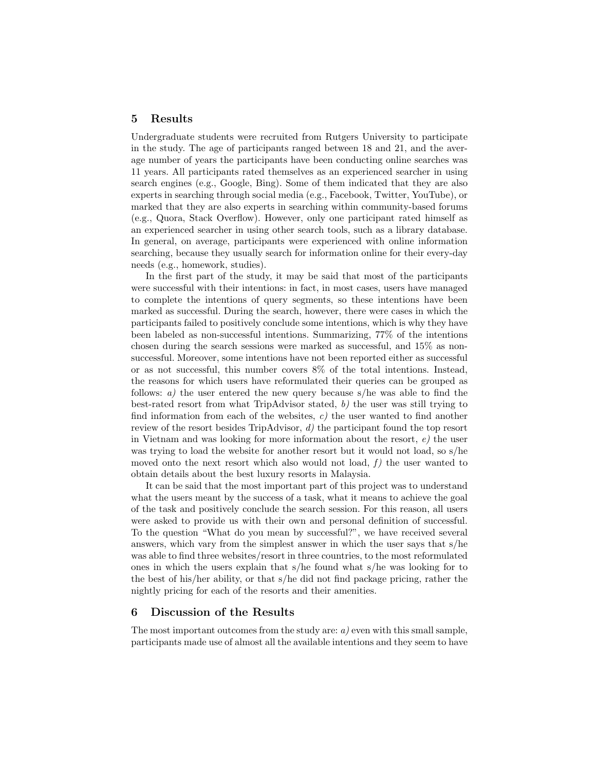#### 5 Results

Undergraduate students were recruited from Rutgers University to participate in the study. The age of participants ranged between 18 and 21, and the average number of years the participants have been conducting online searches was 11 years. All participants rated themselves as an experienced searcher in using search engines (e.g., Google, Bing). Some of them indicated that they are also experts in searching through social media (e.g., Facebook, Twitter, YouTube), or marked that they are also experts in searching within community-based forums (e.g., Quora, Stack Overflow). However, only one participant rated himself as an experienced searcher in using other search tools, such as a library database. In general, on average, participants were experienced with online information searching, because they usually search for information online for their every-day needs (e.g., homework, studies).

In the first part of the study, it may be said that most of the participants were successful with their intentions: in fact, in most cases, users have managed to complete the intentions of query segments, so these intentions have been marked as successful. During the search, however, there were cases in which the participants failed to positively conclude some intentions, which is why they have been labeled as non-successful intentions. Summarizing, 77% of the intentions chosen during the search sessions were marked as successful, and 15% as nonsuccessful. Moreover, some intentions have not been reported either as successful or as not successful, this number covers 8% of the total intentions. Instead, the reasons for which users have reformulated their queries can be grouped as follows:  $a)$  the user entered the new query because s/he was able to find the best-rated resort from what TripAdvisor stated, b) the user was still trying to find information from each of the websites,  $c$ ) the user wanted to find another review of the resort besides TripAdvisor, d) the participant found the top resort in Vietnam and was looking for more information about the resort,  $e$ ) the user was trying to load the website for another resort but it would not load, so s/he moved onto the next resort which also would not load,  $f$ ) the user wanted to obtain details about the best luxury resorts in Malaysia.

It can be said that the most important part of this project was to understand what the users meant by the success of a task, what it means to achieve the goal of the task and positively conclude the search session. For this reason, all users were asked to provide us with their own and personal definition of successful. To the question "What do you mean by successful?", we have received several answers, which vary from the simplest answer in which the user says that s/he was able to find three websites/resort in three countries, to the most reformulated ones in which the users explain that s/he found what s/he was looking for to the best of his/her ability, or that s/he did not find package pricing, rather the nightly pricing for each of the resorts and their amenities.

# 6 Discussion of the Results

The most important outcomes from the study are:  $a$ ) even with this small sample, participants made use of almost all the available intentions and they seem to have